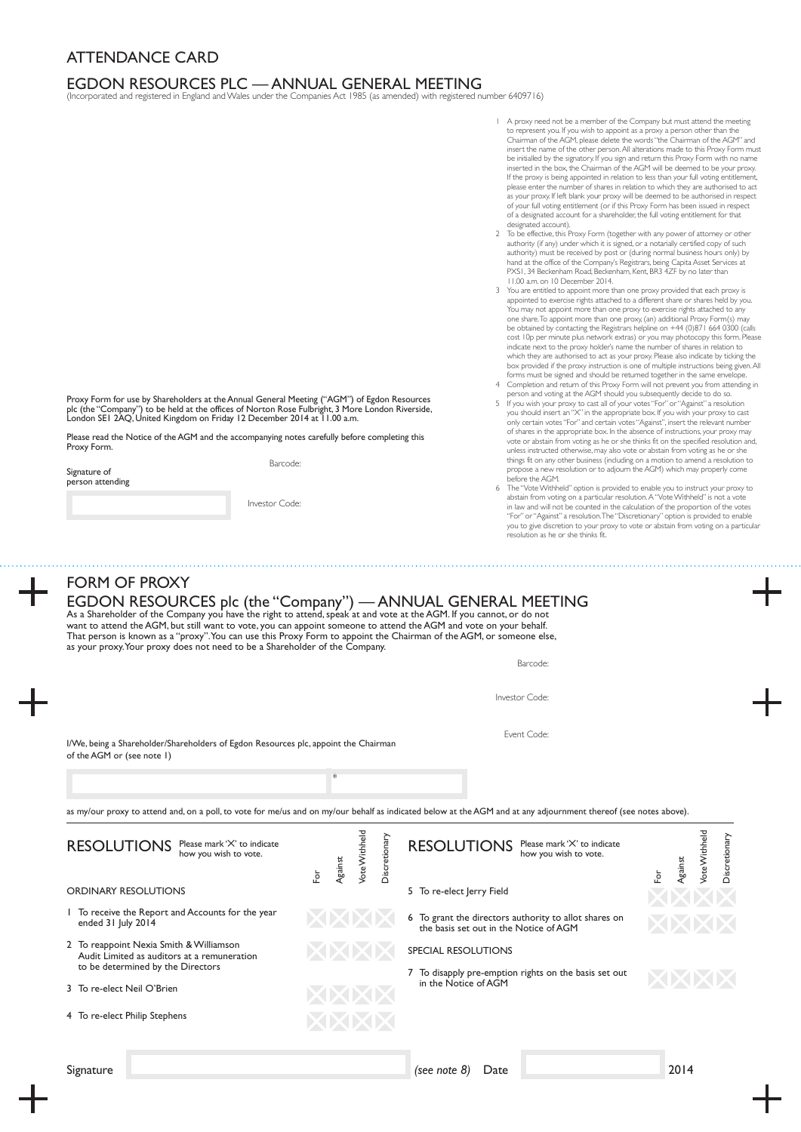## ATTENDANCE CARD

## EGDON RESOURCES PLC — ANNUAL GENERAL MEETING (Incorporated and registered in England and Wales under the Companies Act 1985 (as amended) with registered number 6409716)

- 1 A proxy need not be a member of the Company but must attend the meeting to represent you. If you wish to appoint as a proxy a person other than the Chairman of the AGM, please delete the words "the Chairman of the AGM" and insert the name of the other person. All alterations made to this Proxy Form must be initialled by the signatory. If you sign and return this Proxy Form with no name inserted in the box, the Chairman of the AGM will be deemed to be your proxy. If the proxy is being appointed in relation to less than your full voting entitlement, please enter the number of shares in relation to which they are authorised to act as your proxy. If left blank your proxy will be deemed to be authorised in respect<br>of your full voting entitlement (or if this Proxy Form has been issued in respect<br>of a designated account for a shareholder, the full votin designated account).
- 2 To be effective, this Proxy Form (together with any power of attorney or other authority (if any) under which it is signed, or a notarially certified copy of such authority) must be received by post or (during normal business hours only) by hand at the office of the Company's Registrars, being Capita Asset Services at PXS1, 34 Beckenham Road, Beckenham, Kent, BR3 4ZF by no later than 11.00 a.m. on 10 December 2014.
- 3 You are entitled to appoint more than one proxy provided that each proxy is appointed to exercise rights attached to a different share or shares held by you. You may not appoint more than one proxy to exercise rights attached to any one share. To appoint more than one proxy, (an) additional Proxy Form(s) may be obtained by contacting the Registrars helpline on +44 (0)871 664 0300 (calls cost 10p per minute plus network extras) or you may photocopy this form. Please<br>indicate next to the proxy holder's name the number of shares in relation to<br>which they are authorised to act as your proxy. Please also indic forms must be signed and should be returned together in the same envelope.
- 4 Completion and return of this Proxy Form will not prevent you from attending in
- person and voting at the AGM should you subsequently decide to do so.<br>5 If you wish your proxy to cast all of your votes ''For'' or "Against" a resolution<br>you should insert an ''X'' in the appropriate box. If you wish your only certain votes "For" and certain votes "Against", insert the relevant number of shares in the appropriate box. In the absence of instructions, your proxy may vote or abstain from voting as he or she thinks fit on the specified resolution and, unless instructed otherwise, may also vote or abstain from voting as he or she things fit on any other business (including on a motion to amend a resolution to propose a new resolution or to adjourn the AGM) which may properly come before the AGM.
- 6 The "Vote Withheld" option is provided to enable you to instruct your proxy to abstain from voting on a particular resolution. A "Vote Withheld" is not a vote in law and will not be counted in the calculation of the proportion of the votes "For" or "Against" a resolution. The "Discretionary" option is provided to enable you to give discretion to your proxy to vote or abstain from voting on a particular resolution as he or she thinks fit.

Proxy Form for use by Shareholders at the Annual General Meeting ("AGM") of Egdon Resources plc (the "Company") to be held at the offices of Norton Rose Fulbright, 3 More London Riverside,<br>London SE1 2AQ, United Kingdom on Friday 12 December 2014 at 11.00 a.m.

Please read the Notice of the AGM and the accompanying notes carefully before completing this Proxy Form.

Barcode:

Signature of person attending

Investor Code:

## FORM OF PROXY

| want to attend the AGM, but still want to vote, you can appoint someone to attend the AGM and vote on your behalf.<br>That person is known as a "proxy". You can use this Proxy Form to appoint the Chairman of the AGM, or someone else,<br>as your proxy. Your proxy does not need to be a Shareholder of the Company. |                         |                 |               |               | EGDON RESOURCES plc (the "Company") — ANNUAL GENERAL MEETING<br>As a Shareholder of the Company you have the right to attend, speak at and vote at the AGM. If you cannot, or do not                                                           |     |         |               |               |
|--------------------------------------------------------------------------------------------------------------------------------------------------------------------------------------------------------------------------------------------------------------------------------------------------------------------------|-------------------------|-----------------|---------------|---------------|------------------------------------------------------------------------------------------------------------------------------------------------------------------------------------------------------------------------------------------------|-----|---------|---------------|---------------|
|                                                                                                                                                                                                                                                                                                                          |                         |                 |               |               | Barcode:                                                                                                                                                                                                                                       |     |         |               |               |
|                                                                                                                                                                                                                                                                                                                          |                         |                 |               |               | Investor Code:                                                                                                                                                                                                                                 |     |         |               |               |
| I/We, being a Shareholder/Shareholders of Egdon Resources plc, appoint the Chairman<br>of the AGM or (see note 1)                                                                                                                                                                                                        |                         |                 |               |               | Event Code:                                                                                                                                                                                                                                    |     |         |               |               |
|                                                                                                                                                                                                                                                                                                                          |                         | $\frac{1}{2^k}$ |               |               |                                                                                                                                                                                                                                                |     |         |               |               |
| <b>RESOLUTIONS</b><br>Please mark 'X' to indicate<br>how you wish to vote.                                                                                                                                                                                                                                               | $\rm \overleftarrow{e}$ | Against         | Vote Withheld | Discretionary | as my/our proxy to attend and, on a poll, to vote for me/us and on my/our behalf as indicated below at the AGM and at any adjournment thereof (see notes above).<br><b>RESOLUTIONS</b><br>Please mark 'X' to indicate<br>how you wish to vote. |     |         | Vote Withheld | Discretionary |
|                                                                                                                                                                                                                                                                                                                          |                         |                 |               |               |                                                                                                                                                                                                                                                |     |         |               |               |
| <b>ORDINARY RESOLUTIONS</b>                                                                                                                                                                                                                                                                                              |                         |                 |               |               | 5 To re-elect Jerry Field                                                                                                                                                                                                                      | For | Against |               |               |
| 1 To receive the Report and Accounts for the year<br>ended 31 July 2014                                                                                                                                                                                                                                                  |                         |                 |               |               | 6 To grant the directors authority to allot shares on<br>the basis set out in the Notice of AGM                                                                                                                                                |     |         |               |               |
| 2 To reappoint Nexia Smith & Williamson<br>Audit Limited as auditors at a remuneration                                                                                                                                                                                                                                   |                         |                 |               |               | <b>SPECIAL RESOLUTIONS</b>                                                                                                                                                                                                                     |     |         |               |               |
| to be determined by the Directors<br>3 To re-elect Neil O'Brien                                                                                                                                                                                                                                                          |                         |                 |               |               | 7 To disapply pre-emption rights on the basis set out<br>in the Notice of AGM                                                                                                                                                                  |     |         |               |               |